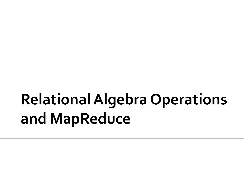# **Relational Algebra Operations** and MapReduce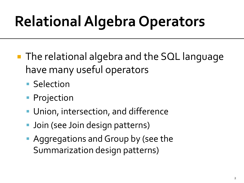# **Relational Algebra Operators**

- **The relational algebra and the SQL language** have many useful operators
	- **Selection**
	- **Projection**
	- Union, intersection, and difference
	- **Join (see Join design patterns)**
	- Aggregations and Group by (see the Summarization design patterns)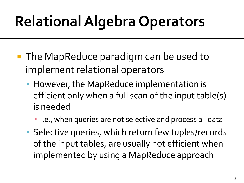# **Relational Algebra Operators**

- **The MapReduce paradigm can be used to** implement relational operators
	- **However, the MapReduce implementation is** efficient only when a full scan of the input table(s) is needed
		- **.** i.e., when queries are not selective and process all data
	- **Selective queries, which return few tuples/records** of the input tables, are usually not efficient when implemented by using a MapReduce approach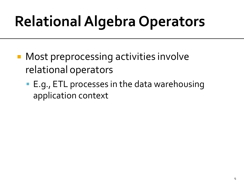# **Relational Algebra Operators**

- **Most preprocessing activities involve** relational operators
	- E.g., ETL processes in the data warehousing application context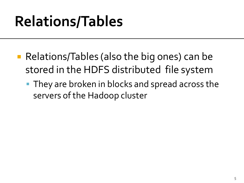## **Relations/Tables**

- Relations/Tables (also the big ones) can be stored in the HDFS distributed file system
	- **They are broken in blocks and spread across the** servers of the Hadoop cluster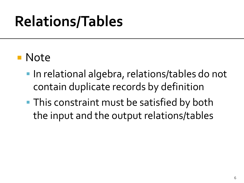## **Relations/Tables**

### **Note**

- In relational algebra, relations/tables do not contain duplicate records by definition
- **This constraint must be satisfied by both** the input and the output relations/tables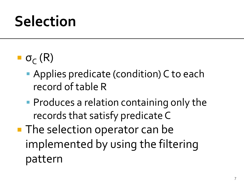- $\blacksquare$  σ<sub>C</sub> (R)
	- **Applies predicate (condition) C to each** record of table R
	- **Produces a relation containing only the** records that satisfy predicate C
- **The selection operator can be** implemented by using the filtering pattern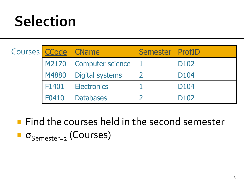| Courses CCode   CName |       |                          | Semester   ProfID |                  |
|-----------------------|-------|--------------------------|-------------------|------------------|
|                       |       | M2170   Computer science |                   | D <sub>102</sub> |
|                       |       | M4880   Digital systems  |                   | D <sub>104</sub> |
|                       | F1401 | <b>Electronics</b>       |                   | D <sub>104</sub> |
|                       | F0410 | <b>Databases</b>         |                   | D <sub>102</sub> |

**Find the courses held in the second semester**  $\bullet$   $\sigma$ <sub>Semester=2</sub> (Courses)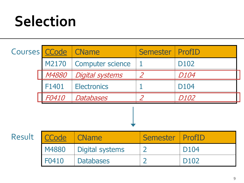| Courses CCode |              | <b>CName</b>            | <b>Semester</b>          | <b>ProfID</b>    |
|---------------|--------------|-------------------------|--------------------------|------------------|
|               | M2170        | <b>Computer science</b> |                          | D <sub>102</sub> |
|               | M4880        | <b>Digital systems</b>  | $\overline{\mathcal{L}}$ | D104             |
|               | F1401        | <b>Electronics</b>      |                          | D104             |
|               | F0410        | Databases               |                          | D102             |
|               |              |                         |                          |                  |
| Result        | <b>CCode</b> | <b>CName</b>            | <b>Semester</b>          | <b>ProfID</b>    |
|               | M4880        | <b>Digital systems</b>  | $\overline{2}$           | D104             |
|               | F0410        | <b>Databases</b>        | $\overline{2}$           | D102             |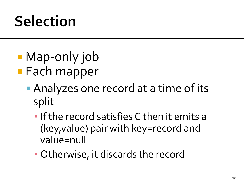- Map-only job
- **Each mapper** 
	- **Analyzes one record at a time of its** split
		- $\blacksquare$  If the record satisfies C then it emits a (key,value) pair with key=record and value=null
		- Otherwise, it discards the record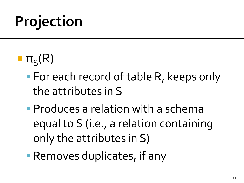- $\blacksquare$   $\pi_S(R)$ 
	- **For each record of table R, keeps only** the attributes in S
	- **Produces a relation with a schema** equal to S (i.e., a relation containing only the attributes in S)
	- Removes duplicates, if any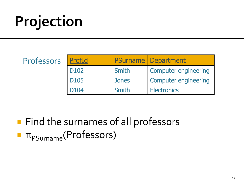Profes:

| <b>SOrS</b> | ProfId           |       | <b>PSurname   Department</b> |
|-------------|------------------|-------|------------------------------|
|             | D <sub>102</sub> | Smith | <b>Computer engineering</b>  |
|             | <b>D105</b>      | Jones | <b>Computer engineering</b>  |
|             | D <sub>104</sub> | Smith | <b>Electronics</b>           |

**Find the surnames of all professors**  $\blacksquare$   $\pi_{\text{PSurname}}$ (Professors)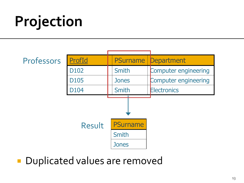Professors ProfId | PSurname Department D102 | Smith | Computer engineering D105 | Jones | Computer engineering D<sub>104</sub> | Smith | Electronics Result **PSurname** Smith **Jones** 

Duplicated values are removed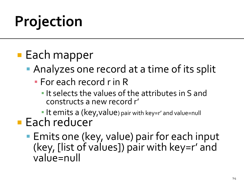### **Each mapper**

- **Analyzes one record at a time of its split** 
	- **EXECORD FOR EACH FIGHT** 
		- **.** It selects the values of the attributes in S and constructs a new record r'
		- It emits a (key, value) pair with key=r' and value=null
- **Each reducer** 
	- **Emits one (key, value) pair for each input** (key, [list of values]) pair with key=r' and value=null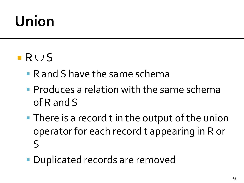### $R \cup S$

- R and S have the same schema
- **Produces a relation with the same schema** of R and S
- **There is a record t in the output of the union** operator for each record t appearing in R or S
- **Duplicated records are removed**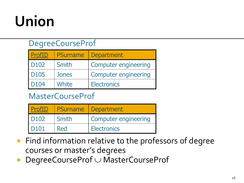#### DegreeCourseProf

| ProfID      | <b>PSurname</b> | <b>Department</b>           |
|-------------|-----------------|-----------------------------|
| <b>D102</b> | Smith           | <b>Computer engineering</b> |
| <b>D105</b> | <b>Jones</b>    | <b>Computer engineering</b> |
| <b>D104</b> | White           | <b>Electronics</b>          |

#### MasterCourseProf

| ProfID           |       | <b>PSurname   Department</b> |
|------------------|-------|------------------------------|
| D <sub>102</sub> | Smith | <b>Computer engineering</b>  |
| D <sub>101</sub> | Red   | <b>Electronics</b>           |

- **Find information relative to the professors of degree** courses or master's degrees
- $\blacksquare$  DegreeCourseProf  $\cup$  MasterCourseProf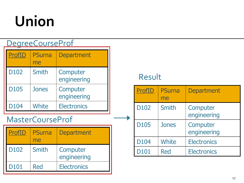#### DegreeCourseProf

| ProfID           | <b>PSurna</b><br>me | <b>Department</b>       |
|------------------|---------------------|-------------------------|
| D <sub>102</sub> | Smith               | Computer<br>engineering |
| D105             | Jones               | Computer<br>engineering |
| D104             | <b>White</b>        | <b>Electronics</b>      |

#### MasterCourseProf

| ProfID      | <b>PSurna</b><br>me | <b>Department</b>       |
|-------------|---------------------|-------------------------|
| <b>D102</b> | Smith               | Computer<br>engineering |
| <b>D101</b> | Red                 | <b>Electronics</b>      |

#### Result

| <b>ProfID</b>    | <b>PSurna</b><br>me | <b>Department</b>       |
|------------------|---------------------|-------------------------|
| D102             | Smith               | Computer<br>engineering |
| <b>D105</b>      | Jones               | Computer<br>engineering |
| D104             | <b>White</b>        | <b>Electronics</b>      |
| D <sub>101</sub> | Red                 | <b>Electronics</b>      |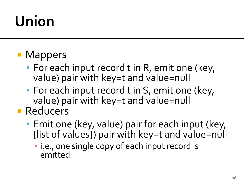#### **• Mappers**

- **For each input record t in R, emit one (key,** value) pair with key=t and value=null
- **For each input record t in S, emit one (key,** value) pair with key=t and value=null
- **Reducers** 
	- **Emit one (key, value) pair for each input (key,** [list of values]) pair with key=t and value=null
		- **· i.e., one single copy of each input record is** emitted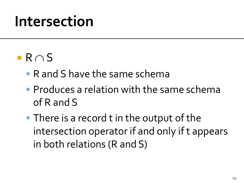### $R \cap S$

- R and S have the same schema
- **Produces a relation with the same schema** of R and S
- **There is a record t in the output of the** intersection operator if and only if t appears in both relations (R and S)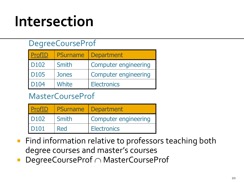#### DegreeCourseProf

| ProfID           | <b>PSurname</b> | <b>Department</b>           |
|------------------|-----------------|-----------------------------|
| D <sub>102</sub> | Smith           | <b>Computer engineering</b> |
| D <sub>105</sub> | <b>Jones</b>    | <b>Computer engineering</b> |
| D <sub>104</sub> | White           | <b>Electronics</b>          |

#### MasterCourseProf

| ProfID           |       | <b>PSurname</b> Department  |
|------------------|-------|-----------------------------|
| D <sub>102</sub> | Smith | <b>Computer engineering</b> |
| D <sub>101</sub> | Red   | <b>Electronics</b>          |

- **Find information relative to professors teaching both** degree courses and master's courses
- DegreeCourseProf  $\cap$  MasterCourseProf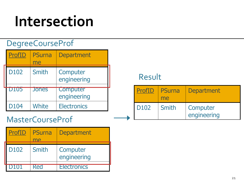#### DegreeCourseProf

| <b>ProfID</b> | <b>PSurna</b><br>me | <b>Department</b>              |
|---------------|---------------------|--------------------------------|
| D102          | <b>Smith</b>        | Computer<br>engineering        |
| <b>DI05</b>   | <b>Jones</b>        | <b>Computer</b><br>engineering |
| D104          | White               | <b>Electronics</b>             |

#### MasterCourseProf

| ProfID           | <b>PSurna</b><br>MA | <b>Department</b>       |
|------------------|---------------------|-------------------------|
| D <sub>102</sub> | Smith               | Computer<br>engineering |
| D101             | <b>Red</b>          | <b>Electronics</b>      |

#### Result

| ProfID           | PSurna<br>me | <b>Department</b>       |
|------------------|--------------|-------------------------|
| D <sub>102</sub> | Smith        | Computer<br>engineering |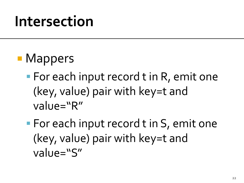- **Mappers** 
	- **For each input record t in R, emit one** (key, value) pair with key=t and value="R"
	- **For each input record t in S, emit one** (key, value) pair with key=t and value="S"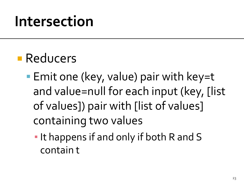### **Reducers**

- **Emit one (key, value) pair with key=t** and value=null for each input (key, [list of values]) pair with [list of values] containing two values
	- **.** It happens if and only if both R and S contain t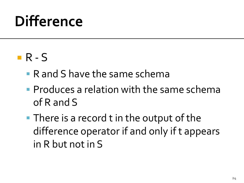#### $R - S$

- R and S have the same schema
- **Produces a relation with the same schema** of R and S
- **There is a record t in the output of the** difference operator if and only if t appears in R but not in S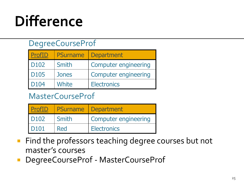#### DegreeCourseProf

| ProfID           | <b>PSurname</b> | <b>Department</b>           |
|------------------|-----------------|-----------------------------|
| D <sub>102</sub> | Smith           | <b>Computer engineering</b> |
| D <sub>105</sub> | <b>Jones</b>    | <b>Computer engineering</b> |
| D <sub>104</sub> | White           | <b>Electronics</b>          |

#### MasterCourseProf

| <b>ProfID</b>    |       | <b>PSurname</b> Department  |
|------------------|-------|-----------------------------|
| D <sub>102</sub> | Smith | <b>Computer engineering</b> |
| D <sub>101</sub> | Red   | <b>Electronics</b>          |

- **Find the professors teaching degree courses but not** master's courses
- **DegreeCourseProf MasterCourseProf**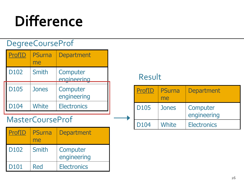#### DegreeCourseProf

| <b>ProfID</b> | <b>PSurna</b><br>me | <b>Department</b>       |
|---------------|---------------------|-------------------------|
| D102          | <b>Smith</b>        | Computer<br>engineering |
| D105          | Jones               | Computer<br>engineering |
| D104          | <b>White</b>        | <b>Electronics</b>      |

#### MasterCourseProf

| ProfID           | <b>PSurna</b><br>me | <b>Department</b>       |
|------------------|---------------------|-------------------------|
| D <sub>102</sub> | Smith               | Computer<br>engineering |
| D <sub>101</sub> | Red                 | <b>Electronics</b>      |

#### Result

| ProfID           | <b>PSurna</b><br>me | <b>Department</b>       |
|------------------|---------------------|-------------------------|
| <b>D105</b>      | <b>Jones</b>        | Computer<br>engineering |
| D <sub>104</sub> | White               | <b>Electronics</b>      |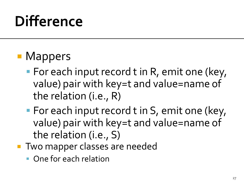### **• Mappers**

- **For each input record t in R, emit one (key,** value) pair with key=t and value=name of the relation (i.e., R)
- **For each input record t in S, emit one (key,** value) pair with key=t and value=name of the relation (i.e., S)
- **Two mapper classes are needed** 
	- **One for each relation**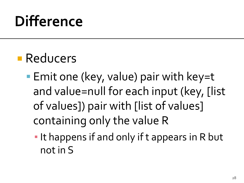### **Reducers**

- **Emit one (key, value) pair with key=t** and value=null for each input (key, [list of values]) pair with [list of values] containing only the value R
	- **.** It happens if and only if t appears in R but not in S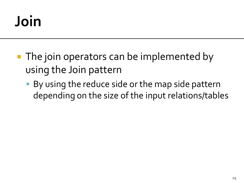# Join

- **The join operators can be implemented by** using the Join pattern
	- By using the reduce side or the map side pattern depending on the size of the input relations/tables